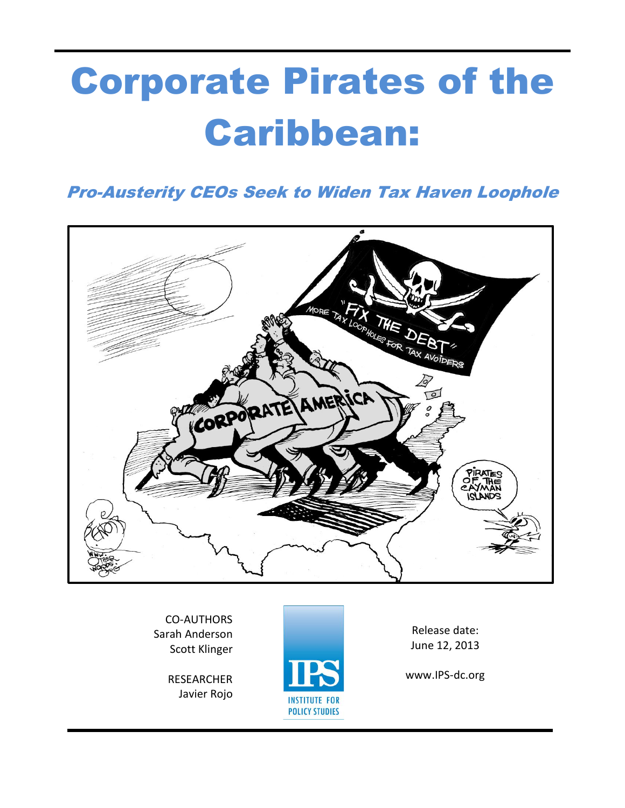# **Corporate Pirates of the Caribbean:**

**Pro-Austerity CEOs Seek to Widen Tax Haven Loophole** 



**CO-AUTHORS** Sarah Anderson **Scott Klinger** 

> **RESEARCHER** Javier Rojo



Release date: June 12, 2013

www.IPS-dc.org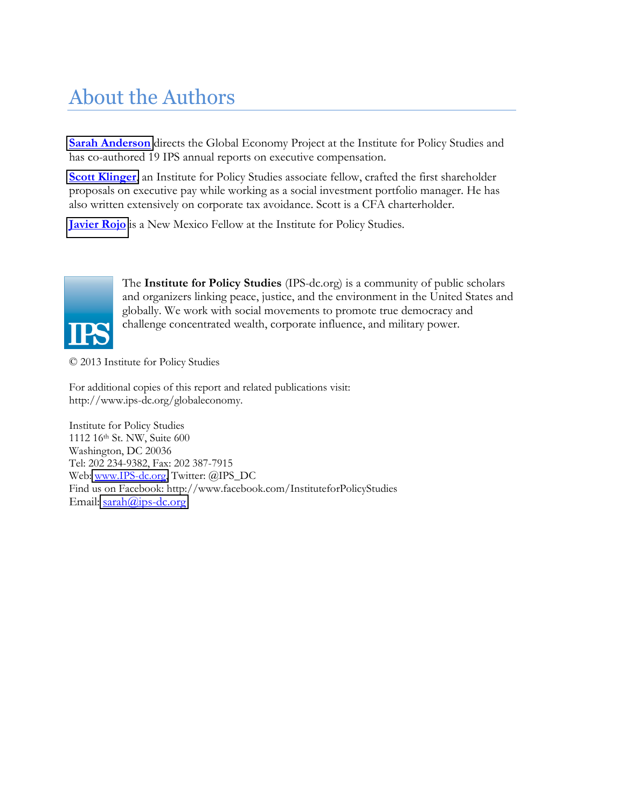# **About the Authors**

**Sarah Anderson** directs the Global Economy Project at the Institute for Policy Studies and has co-authored 19 IPS annual reports on executive compensation.

Scott Klinger, an Institute for Policy Studies associate fellow, crafted the first shareholder proposals on executive pay while working as a social investment portfolio manager. He has also written extensively on corporate tax avoidance. Scott is a CFA charterholder.

**Javier Rojo** is a New Mexico Fellow at the Institute for Policy Studies.



The Institute for Policy Studies (IPS-dc.org) is a community of public scholars and organizers linking peace, justice, and the environment in the United States and globally. We work with social movements to promote true democracy and challenge concentrated wealth, corporate influence, and military power.

© 2013 Institute for Policy Studies

For additional copies of this report and related publications visit: http://www.ips-dc.org/globaleconomy.

Institute for Policy Studies 1112 16th St. NW, Suite 600 Washington, DC 20036 Tel: 202 234-9382, Fax: 202 387-7915 Web: www.IPS-dc.org, Twitter: @IPS\_DC Find us on Facebook: http://www.facebook.com/InstituteforPolicyStudies Email: sarah@ips-dc.org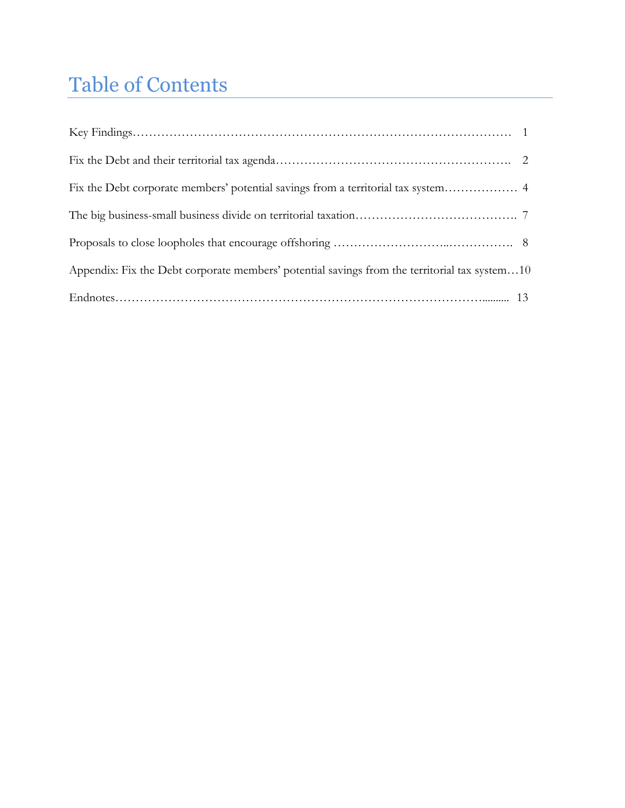# Table of Contents

| Appendix: Fix the Debt corporate members' potential savings from the territorial tax system10 |  |
|-----------------------------------------------------------------------------------------------|--|
|                                                                                               |  |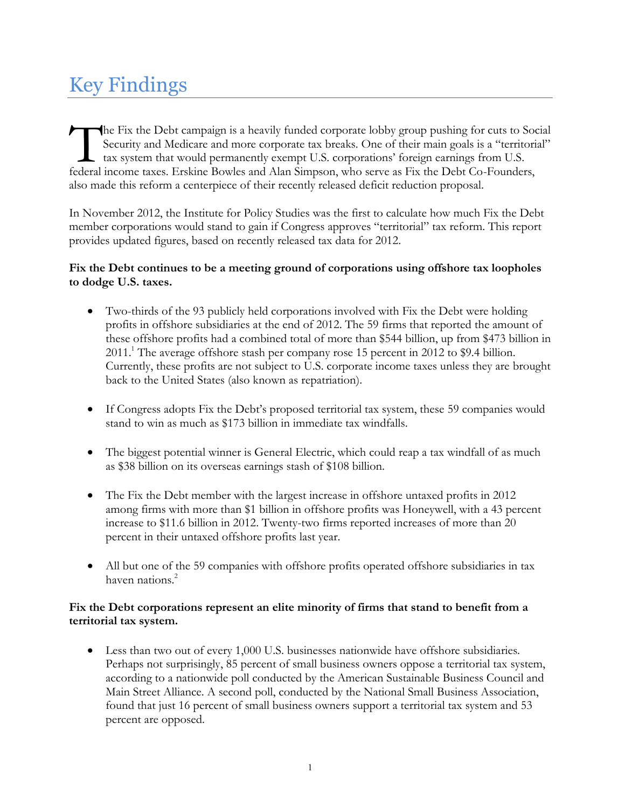# **Key Findings**

The Fix the Debt campaign is a heavily funded corporate lobby group pushing for cuts to Social Security and Medicare and more corporate tax breaks. One of their main goals is a "territorial"  $\mathsf{\mathsf{L}}$  tax system that would permanently exempt U.S. corporations' foreign earnings from U.S. federal income taxes. Erskine Bowles and Alan Simpson, who serve as Fix the Debt Co-Founders, also made this reform a centerpiece of their recently released deficit reduction proposal.

In November 2012, the Institute for Policy Studies was the first to calculate how much Fix the Debt member corporations would stand to gain if Congress approves "territorial" tax reform. This report provides updated figures, based on recently released tax data for 2012.

#### Fix the Debt continues to be a meeting ground of corporations using offshore tax loopholes to dodge U.S. taxes.

- Two-thirds of the 93 publicly held corporations involved with Fix the Debt were holding  $\bullet$ profits in offshore subsidiaries at the end of 2012. The 59 firms that reported the amount of these offshore profits had a combined total of more than \$544 billion, up from \$473 billion in  $2011<sup>1</sup>$ . The average offshore stash per company rose 15 percent in 2012 to \$9.4 billion. Currently, these profits are not subject to U.S. corporate income taxes unless they are brought back to the United States (also known as repatriation).
- If Congress adopts Fix the Debt's proposed territorial tax system, these 59 companies would  $\bullet$ stand to win as much as \$173 billion in immediate tax windfalls.
- The biggest potential winner is General Electric, which could reap a tax windfall of as much as \$38 billion on its overseas earnings stash of \$108 billion.
- $\bullet$ The Fix the Debt member with the largest increase in offshore untaxed profits in 2012 among firms with more than \$1 billion in offshore profits was Honeywell, with a 43 percent increase to \$11.6 billion in 2012. Twenty-two firms reported increases of more than 20 percent in their untaxed offshore profits last year.
- All but one of the 59 companies with offshore profits operated offshore subsidiaries in tax  $\bullet$ haven nations.<sup>2</sup>

#### Fix the Debt corporations represent an elite minority of firms that stand to benefit from a territorial tax system.

• Less than two out of every 1,000 U.S. businesses nationwide have offshore subsidiaries. Perhaps not surprisingly, 85 percent of small business owners oppose a territorial tax system, according to a nationwide poll conducted by the American Sustainable Business Council and Main Street Alliance. A second poll, conducted by the National Small Business Association, found that just 16 percent of small business owners support a territorial tax system and 53 percent are opposed.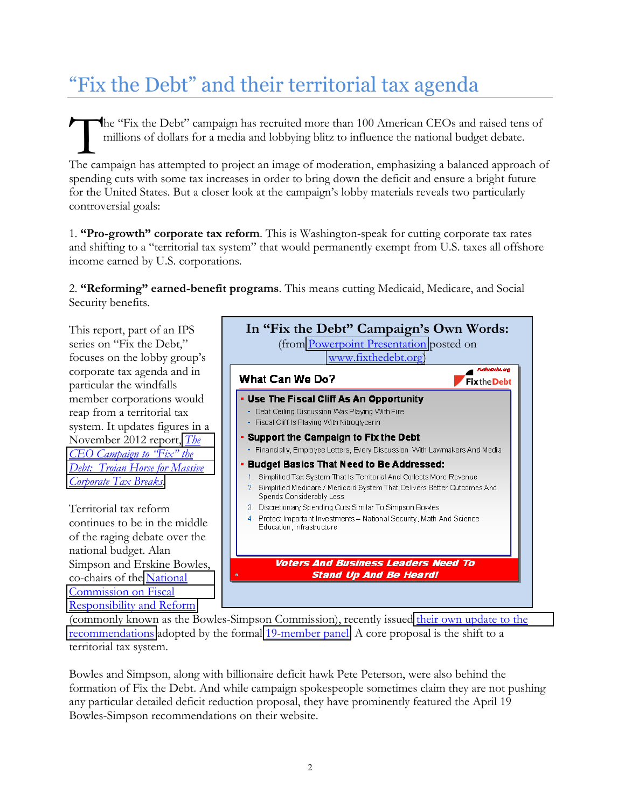# "Fix the Debt" and their territorial tax agenda

The "Fix the Debt" campaign has recruited more than 100 American CEOs and raised tens of millions of dollars for a media and lobbying blitz to influence the national budget debate.

The campaign has attempted to project an image of moderation, emphasizing a balanced approach of spending cuts with some tax increases in order to bring down the deficit and ensure a bright future for the United States. But a closer look at the campaign's lobby materials reveals two particularly controversial goals:

1. "Pro-growth" corporate tax reform. This is Washington-speak for cutting corporate tax rates and shifting to a "territorial tax system" that would permanently exempt from U.S. taxes all offshore income earned by U.S. corporations.

2. "Reforming" earned-benefit programs. This means cutting Medicaid, Medicare, and Social Security benefits.

This report, part of an IPS series on "Fix the Debt," focuses on the lobby group's corporate tax agenda and in particular the windfalls member corporations would reap from a territorial tax system. It updates figures in a November 2012 report, *The* CEO Campaign to "Fix" the Debt: Trojan Horse for Massive Corporate Tax Breaks.

Territorial tax reform continues to be in the middle of the raging debate over the national budget. Alan Simpson and Erskine Bowles, co-chairs of the National Commission on Fiscal Responsibility and Reform



(commonly known as the Bowles-Simpson Commission), recently issued their own update to the recommendations adopted by the formal 19-member panel. A core proposal is the shift to a territorial tax system.

Bowles and Simpson, along with billionaire deficit hawk Pete Peterson, were also behind the formation of Fix the Debt. And while campaign spokespeople sometimes claim they are not pushing any particular detailed deficit reduction proposal, they have prominently featured the April 19 Bowles-Simpson recommendations on their website.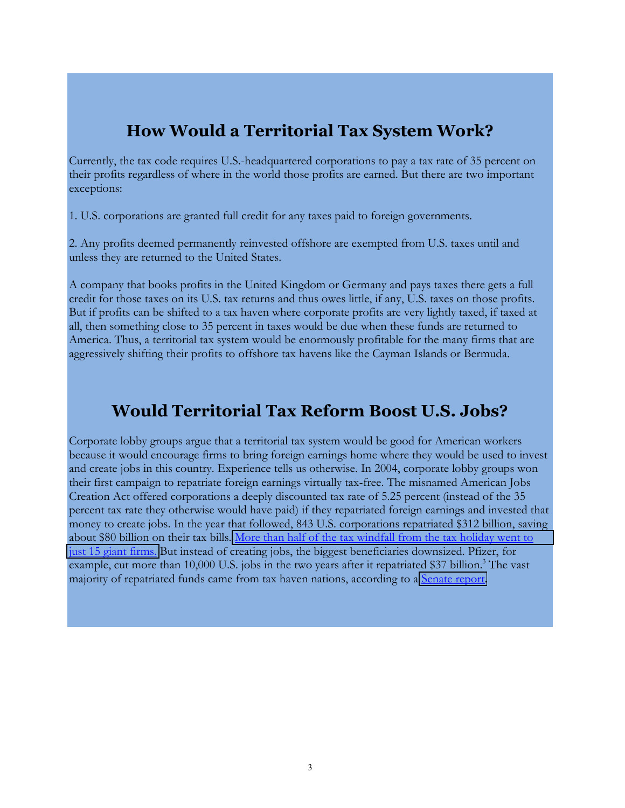### **How Would a Territorial Tax System Work?**

Currently, the tax code requires U.S.-headquartered corporations to pay a tax rate of 35 percent on their profits regardless of where in the world those profits are earned. But there are two important exceptions:

1. U.S. corporations are granted full credit for any taxes paid to foreign governments.

2. Any profits deemed permanently reinvested offshore are exempted from U.S. taxes until and unless they are returned to the United States.

A company that books profits in the United Kingdom or Germany and pays taxes there gets a full credit for those taxes on its U.S. tax returns and thus owes little, if any, U.S. taxes on those profits. But if profits can be shifted to a tax haven where corporate profits are very lightly taxed, if taxed at all, then something close to 35 percent in taxes would be due when these funds are returned to America. Thus, a territorial tax system would be enormously profitable for the many firms that are aggressively shifting their profits to offshore tax havens like the Cayman Islands or Bermuda.

### **Would Territorial Tax Reform Boost U.S. Jobs?**

Corporate lobby groups argue that a territorial tax system would be good for American workers because it would encourage firms to bring foreign earnings home where they would be used to invest and create jobs in this country. Experience tells us otherwise. In 2004, corporate lobby groups won their first campaign to repatriate foreign earnings virtually tax-free. The misnamed American Jobs Creation Act offered corporations a deeply discounted tax rate of 5.25 percent (instead of the 35 percent tax rate they otherwise would have paid) if they repatriated foreign earnings and invested that money to create jobs. In the year that followed, 843 U.S. corporations repatriated \$312 billion, saving about \$80 billion on their tax bills. More than half of the tax windfall from the tax holiday went to just 15 giant firms. But instead of creating jobs, the biggest beneficiaries downsized. Pfizer, for example, cut more than 10,000 U.S. jobs in the two years after it repatriated \$37 billion. The vast majority of repatriated funds came from tax haven nations, according to a Senate report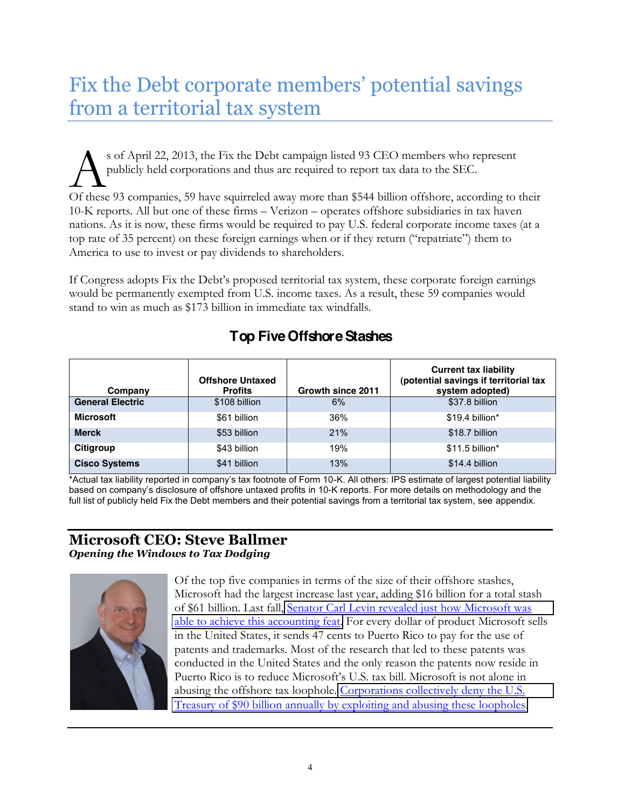# Fix the Debt corporate members' potential savings from a territorial tax system

s of April 22, 2013, the Fix the Debt campaign listed 93 CEO members who represent publicly held corporations and thus are required to report tax data to the SEC. Of these 93 companies, 59 have squirreled away more than \$544 billion offshore, according to their 10-K reports. All but one of these firms – Verizon – operates offshore subsidiaries in tax haven nations. As it is now, these firms would be required to pay U.S. federal corporate income taxes (at a top rate of 35 percent) on these foreign earnings when or if they return ("repatriate") them to America to use to invest or pay dividends to shareholders.

If Congress adopts Fix the Debt's proposed territorial tax system, these corporate foreign earnings would be permanently exempted from U.S. income taxes. As a result, these 59 companies would stand to win as much as \$173 billion in immediate tax windfalls.

| Company                 | <b>Offshore Untaxed</b><br><b>Profits</b> | Growth since 2011 | <b>Current tax liability</b><br>(potential savings if territorial tax<br>system adopted) |
|-------------------------|-------------------------------------------|-------------------|------------------------------------------------------------------------------------------|
| <b>General Electric</b> | \$108 billion                             | 6%                | \$37.8 billion                                                                           |
| <b>Microsoft</b>        | \$61 billion                              | 36%               | \$19.4 billion*                                                                          |
| <b>Merck</b>            | \$53 billion                              | 21%               | \$18.7 billion                                                                           |
| Citigroup               | \$43 billion                              | 19%               | $$11.5$ billion*                                                                         |
| <b>Cisco Systems</b>    | \$41 billion                              | 13%               | \$14.4 billion                                                                           |

### **Top Five Offshore Stashes**

\*Actual tax liability reported in company's tax footnote of Form 10-K. All others: IPS estimate of largest potential liability based on company's disclosure of offshore untaxed profits in 10-K reports. For more details on methodology and the full list of publicly held Fix the Debt members and their potential savings from a territorial tax system, see appendix.

#### **Microsoft CEO: Steve Ballmer Opening the Windows to Tax Dodging**



Of the top five companies in terms of the size of their offshore stashes, Microsoft had the largest increase last year, adding \$16 billion for a total stash of \$61 billion. Last fall, Senator Carl Levin revealed just how Microsoft was able to achieve this accounting feat. For every dollar of product Microsoft sells in the United States, it sends 47 cents to Puerto Rico to pay for the use of patents and trademarks. Most of the research that led to these patents was conducted in the United States and the only reason the patents now reside in Puerto Rico is to reduce Microsoft's U.S. tax bill. Microsoft is not alone in abusing the offshore tax loophole. Corporations collectively deny the U.S. Treasury of \$90 billion annually by exploiting and abusing these loopholes.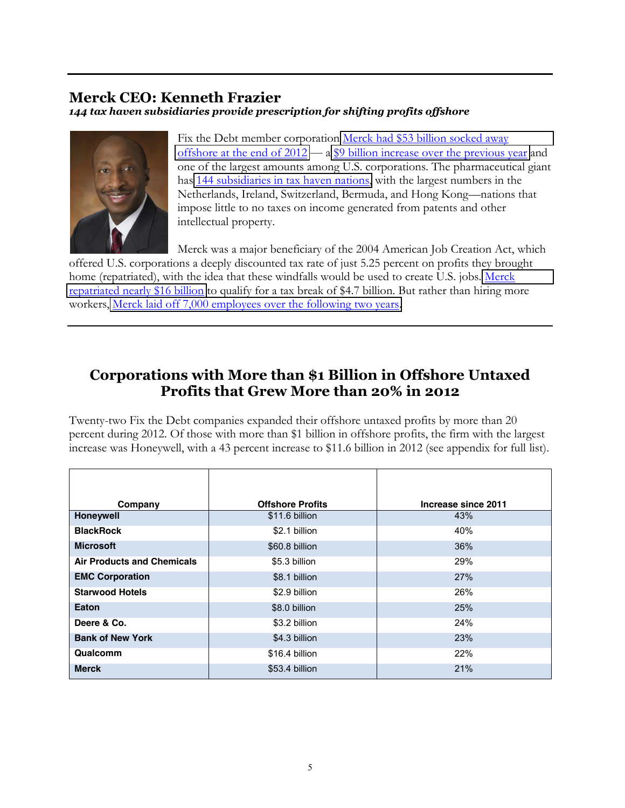### **Merck CEO: Kenneth Frazier**

144 tax haven subsidiaries provide prescription for shifting profits offshore



Fix the Debt member corporation Merck had \$53 billion socked away offshore at the end of  $2012 - a$  \$9 billion increase over the previous year and one of the largest amounts among U.S. corporations. The pharmaceutical giant has 144 subsidiaries in tax haven nations, with the largest numbers in the Netherlands, Ireland, Switzerland, Bermuda, and Hong Kong-nations that impose little to no taxes on income generated from patents and other intellectual property.

Merck was a major beneficiary of the 2004 American Job Creation Act, which offered U.S. corporations a deeply discounted tax rate of just 5.25 percent on profits they brought home (repatriated), with the idea that these windfalls would be used to create U.S. jobs. Merck repatriated nearly \$16 billion to qualify for a tax break of \$4.7 billion. But rather than hiring more workers, Merck laid off 7,000 employees over the following two years.

### Corporations with More than \$1 Billion in Offshore Untaxed Profits that Grew More than 20% in 2012

Twenty-two Fix the Debt companies expanded their offshore untaxed profits by more than 20 percent during 2012. Of those with more than \$1 billion in offshore profits, the firm with the largest increase was Honeywell, with a 43 percent increase to \$11.6 billion in 2012 (see appendix for full list).

| Company                           | <b>Offshore Profits</b> | Increase since 2011 |
|-----------------------------------|-------------------------|---------------------|
| <b>Honeywell</b>                  | \$11.6 billion          | 43%                 |
| <b>BlackRock</b>                  | \$2.1 billion           | 40%                 |
| <b>Microsoft</b>                  | \$60.8 billion          | 36%                 |
| <b>Air Products and Chemicals</b> | \$5.3 billion           | 29%                 |
| <b>EMC Corporation</b>            | \$8.1 billion           | 27%                 |
| <b>Starwood Hotels</b>            | \$2.9 billion           | 26%                 |
| Eaton                             | \$8.0 billion           | 25%                 |
| Deere & Co.                       | \$3.2 billion           | 24%                 |
| <b>Bank of New York</b>           | \$4.3 billion           | 23%                 |
| Qualcomm                          | \$16.4 billion          | 22%                 |
| <b>Merck</b>                      | \$53.4 billion          | 21%                 |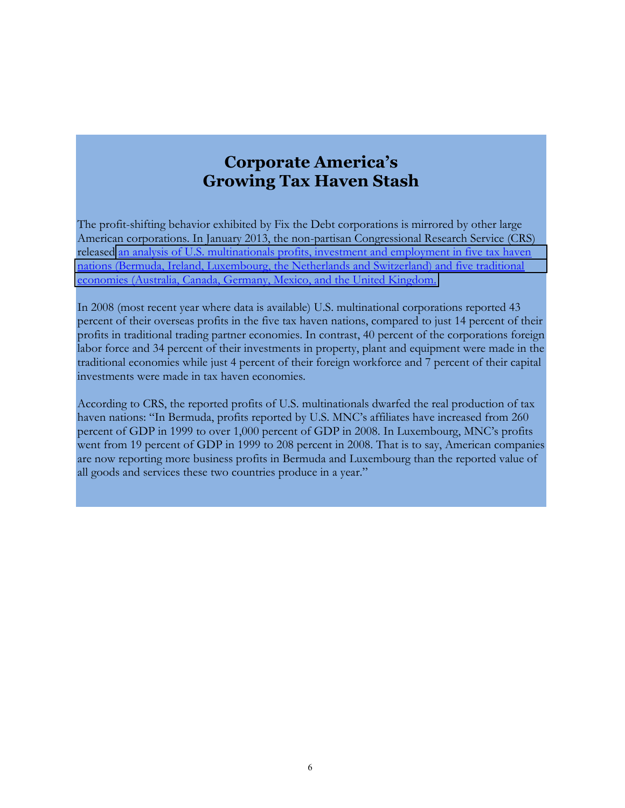### **Corporate America's Growing Tax Haven Stash**

The profit-shifting behavior exhibited by Fix the Debt corporations is mirrored by other large American corporations. In January 2013, the non-partisan Congressional Research Service (CRS) released an analysis of U.S. multinationals profits, investment and employment in five tax haven nations (Bermuda, Ireland, Luxembourg, the Netherlands and Switzerland) and five traditional economies (Australia, Canada, Germany, Mexico, and the United Kingdom.

In 2008 (most recent year where data is available) U.S. multinational corporations reported 43 percent of their overseas profits in the five tax haven nations, compared to just 14 percent of their profits in traditional trading partner economies. In contrast, 40 percent of the corporations foreign labor force and 34 percent of their investments in property, plant and equipment were made in the traditional economies while just 4 percent of their foreign workforce and 7 percent of their capital investments were made in tax haven economies.

According to CRS, the reported profits of U.S. multinationals dwarfed the real production of tax haven nations: "In Bermuda, profits reported by U.S. MNC's affiliates have increased from 260 percent of GDP in 1999 to over 1,000 percent of GDP in 2008. In Luxembourg, MNC's profits went from 19 percent of GDP in 1999 to 208 percent in 2008. That is to say, American companies are now reporting more business profits in Bermuda and Luxembourg than the reported value of all goods and services these two countries produce in a year."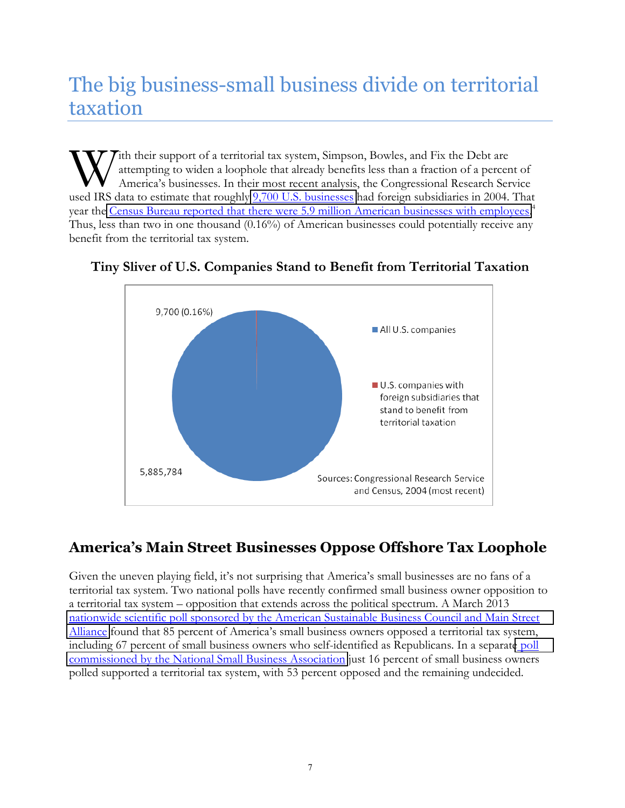# The big business-small business divide on territorial taxation

ith their support of a territorial tax system, Simpson, Bowles, and Fix the Debt are attempting to widen a loophole that already benefits less than a fraction of a percent of America's businesses. In their most recent analysis, the Congressional Research Service used IRS data to estimate that roughly 9,700 U.S. businesses had foreign subsidiaries in 2004. That year the Census Bureau reported that there were 5.9 million American businesses with employees.<sup>4</sup> Thus, less than two in one thousand (0.16%) of American businesses could potentially receive any benefit from the territorial tax system.



#### Tiny Sliver of U.S. Companies Stand to Benefit from Territorial Taxation

### America's Main Street Businesses Oppose Offshore Tax Loophole

Given the uneven playing field, it's not surprising that America's small businesses are no fans of a territorial tax system. Two national polls have recently confirmed small business owner opposition to a territorial tax system – opposition that extends across the political spectrum. A March 2013 nationwide scientific poll sponsored by the American Sustainable Business Council and Main Street Alliance found that 85 percent of America's small business owners opposed a territorial tax system, including 67 percent of small business owners who self-identified as Republicans. In a separate poll commissioned by the National Small Business Association just 16 percent of small business owners polled supported a territorial tax system, with 53 percent opposed and the remaining undecided.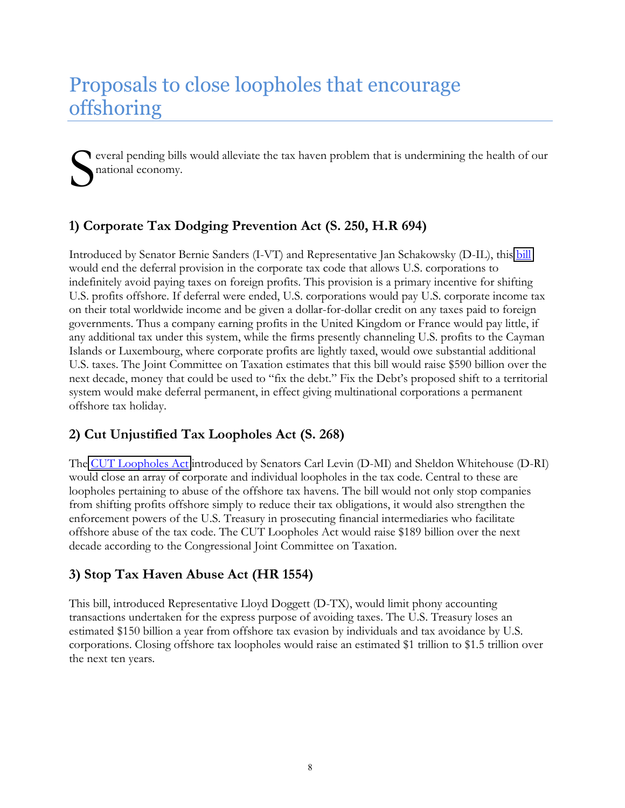# Proposals to close loopholes that encourage offshoring

everal pending bills would alleviate the tax haven problem that is undermining the health of our national economy.

### 1) Corporate Tax Dodging Prevention Act (S. 250, H.R 694)

Introduced by Senator Bernie Sanders (I-VT) and Representative Jan Schakowsky (D-IL), this bill would end the deferral provision in the corporate tax code that allows U.S. corporations to indefinitely avoid paying taxes on foreign profits. This provision is a primary incentive for shifting U.S. profits offshore. If deferral were ended, U.S. corporations would pay U.S. corporate income tax on their total worldwide income and be given a dollar-for-dollar credit on any taxes paid to foreign governments. Thus a company earning profits in the United Kingdom or France would pay little, if any additional tax under this system, while the firms presently channeling U.S. profits to the Cayman Islands or Luxembourg, where corporate profits are lightly taxed, would owe substantial additional U.S. taxes. The Joint Committee on Taxation estimates that this bill would raise \$590 billion over the next decade, money that could be used to "fix the debt." Fix the Debt's proposed shift to a territorial system would make deferral permanent, in effect giving multinational corporations a permanent offshore tax holiday.

#### 2) Cut Unjustified Tax Loopholes Act (S. 268)

The CUT Loopholes Act introduced by Senators Carl Levin (D-MI) and Sheldon Whitehouse (D-RI) would close an array of corporate and individual loopholes in the tax code. Central to these are loopholes pertaining to abuse of the offshore tax havens. The bill would not only stop companies from shifting profits offshore simply to reduce their tax obligations, it would also strengthen the enforcement powers of the U.S. Treasury in prosecuting financial intermediaries who facilitate offshore abuse of the tax code. The CUT Loopholes Act would raise \$189 billion over the next decade according to the Congressional Joint Committee on Taxation.

#### 3) Stop Tax Haven Abuse Act (HR 1554)

This bill, introduced Representative Lloyd Doggett (D-TX), would limit phony accounting transactions undertaken for the express purpose of avoiding taxes. The U.S. Treasury loses an estimated \$150 billion a year from offshore tax evasion by individuals and tax avoidance by U.S. corporations. Closing offshore tax loopholes would raise an estimated \$1 trillion to \$1.5 trillion over the next ten years.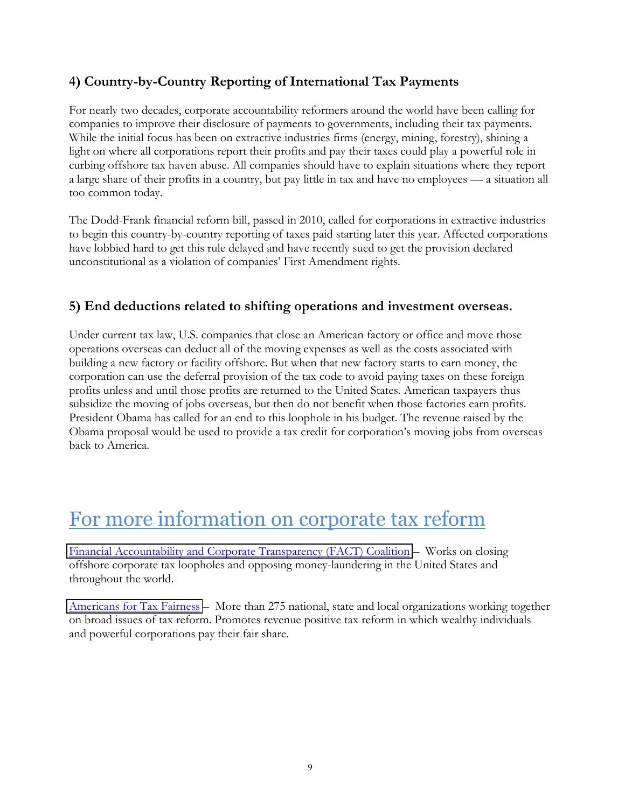### 4) Country-by-Country Reporting of International Tax Payments

For nearly two decades, corporate accountability reformers around the world have been calling for companies to improve their disclosure of payments to governments, including their tax payments. While the initial focus has been on extractive industries firms (energy, mining, forestry), shining a light on where all corporations report their profits and pay their taxes could play a powerful role in curbing offshore tax haven abuse. All companies should have to explain situations where they report a large share of their profits in a country, but pay little in tax and have no employees — a situation all too common today.

The Dodd-Frank financial reform bill, passed in 2010, called for corporations in extractive industries to begin this country-by-country reporting of taxes paid starting later this year. Affected corporations have lobbied hard to get this rule delayed and have recently sued to get the provision declared unconstitutional as a violation of companies' First Amendment rights.

#### 5) End deductions related to shifting operations and investment overseas.

Under current tax law, U.S. companies that close an American factory or office and move those operations overseas can deduct all of the moving expenses as well as the costs associated with building a new factory or facility offshore. But when that new factory starts to earn money, the corporation can use the deferral provision of the tax code to avoid paying taxes on these foreign profits unless and until those profits are returned to the United States. American taxpayers thus subsidize the moving of jobs overseas, but then do not benefit when those factories earn profits. President Obama has called for an end to this loophole in his budget. The revenue raised by the Obama proposal would be used to provide a tax credit for corporation's moving jobs from overseas back to America.

## For more information on corporate tax reform

Financial Accountability and Corporate Transparency (FACT) Coalition – Works on closing offshore corporate tax loopholes and opposing money-laundering in the United States and throughout the world.

Americans for Tax Fairness – More than 275 national, state and local organizations working together on broad issues of tax reform. Promotes revenue positive tax reform in which wealthy individuals and powerful corporations pay their fair share.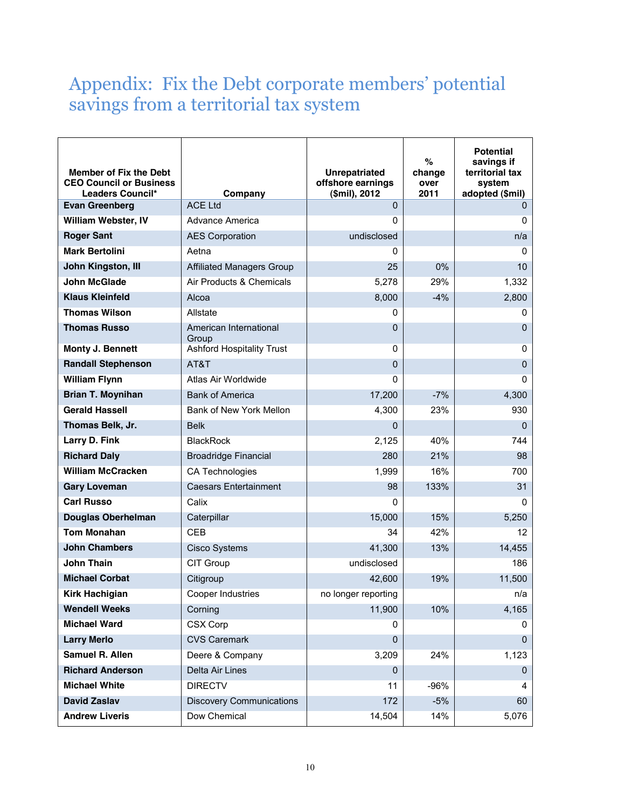### Appendix: Fix the Debt corporate members' potential savings from a territorial tax system

| <b>Member of Fix the Debt</b><br><b>CEO Council or Business</b><br>Leaders Council* | Company                          | <b>Unrepatriated</b><br>offshore earnings<br>(\$mil), 2012 | %<br>change<br>over<br>2011 | <b>Potential</b><br>savings if<br>territorial tax<br>system<br>adopted (\$mil) |
|-------------------------------------------------------------------------------------|----------------------------------|------------------------------------------------------------|-----------------------------|--------------------------------------------------------------------------------|
| <b>Evan Greenberg</b>                                                               | <b>ACE Ltd</b>                   | $\Omega$                                                   |                             | <sup>n</sup>                                                                   |
| William Webster, IV                                                                 | Advance America                  | 0                                                          |                             | 0                                                                              |
| <b>Roger Sant</b>                                                                   | <b>AES Corporation</b>           | undisclosed                                                |                             | n/a                                                                            |
| <b>Mark Bertolini</b>                                                               | Aetna                            | 0                                                          |                             | 0                                                                              |
| John Kingston, III                                                                  | <b>Affiliated Managers Group</b> | 25                                                         | 0%                          | 10                                                                             |
| <b>John McGlade</b>                                                                 | Air Products & Chemicals         | 5,278                                                      | 29%                         | 1,332                                                                          |
| <b>Klaus Kleinfeld</b>                                                              | Alcoa                            | 8,000                                                      | $-4%$                       | 2,800                                                                          |
| <b>Thomas Wilson</b>                                                                | Allstate                         | 0                                                          |                             | 0                                                                              |
| <b>Thomas Russo</b>                                                                 | American International<br>Group  | $\mathbf{0}$                                               |                             | $\Omega$                                                                       |
| Monty J. Bennett                                                                    | <b>Ashford Hospitality Trust</b> | 0                                                          |                             | $\mathbf 0$                                                                    |
| <b>Randall Stephenson</b>                                                           | AT&T                             | $\mathbf 0$                                                |                             | $\mathbf{0}$                                                                   |
| <b>William Flynn</b>                                                                | Atlas Air Worldwide              | 0                                                          |                             | $\mathbf 0$                                                                    |
| <b>Brian T. Moynihan</b>                                                            | <b>Bank of America</b>           | 17,200                                                     | $-7%$                       | 4,300                                                                          |
| <b>Gerald Hassell</b>                                                               | Bank of New York Mellon          | 4,300                                                      | 23%                         | 930                                                                            |
| Thomas Belk, Jr.                                                                    | <b>Belk</b>                      | $\Omega$                                                   |                             | $\Omega$                                                                       |
| Larry D. Fink                                                                       | <b>BlackRock</b>                 | 2,125                                                      | 40%                         | 744                                                                            |
| <b>Richard Daly</b>                                                                 | <b>Broadridge Financial</b>      | 280                                                        | 21%                         | 98                                                                             |
| <b>William McCracken</b>                                                            | CA Technologies                  | 1,999                                                      | 16%                         | 700                                                                            |
| <b>Gary Loveman</b>                                                                 | <b>Caesars Entertainment</b>     | 98                                                         | 133%                        | 31                                                                             |
| <b>Carl Russo</b>                                                                   | Calix                            | 0                                                          |                             | $\Omega$                                                                       |
| <b>Douglas Oberhelman</b>                                                           | Caterpillar                      | 15,000                                                     | 15%                         | 5,250                                                                          |
| <b>Tom Monahan</b>                                                                  | <b>CEB</b>                       | 34                                                         | 42%                         | 12                                                                             |
| <b>John Chambers</b>                                                                | <b>Cisco Systems</b>             | 41,300                                                     | 13%                         | 14,455                                                                         |
| <b>John Thain</b>                                                                   | CIT Group                        | undisclosed                                                |                             | 186                                                                            |
| <b>Michael Corbat</b>                                                               | Citigroup                        | 42,600                                                     | 19%                         | 11,500                                                                         |
| <b>Kirk Hachigian</b>                                                               | Cooper Industries                | no longer reporting                                        |                             | n/a                                                                            |
| <b>Wendell Weeks</b>                                                                | Corning                          | 11,900                                                     | 10%                         | 4,165                                                                          |
| <b>Michael Ward</b>                                                                 | CSX Corp                         | 0                                                          |                             | 0                                                                              |
| <b>Larry Merlo</b>                                                                  | <b>CVS Caremark</b>              | $\mathbf{0}$                                               |                             | $\Omega$                                                                       |
| <b>Samuel R. Allen</b>                                                              | Deere & Company                  | 3,209                                                      | 24%                         | 1,123                                                                          |
| <b>Richard Anderson</b>                                                             | Delta Air Lines                  | $\pmb{0}$                                                  |                             | $\mathbf 0$                                                                    |
| <b>Michael White</b>                                                                | <b>DIRECTV</b>                   | 11                                                         | $-96%$                      | 4                                                                              |
| <b>David Zaslav</b>                                                                 | <b>Discovery Communications</b>  | 172                                                        | $-5%$                       | 60                                                                             |
| <b>Andrew Liveris</b>                                                               | Dow Chemical                     | 14,504                                                     | 14%                         | 5,076                                                                          |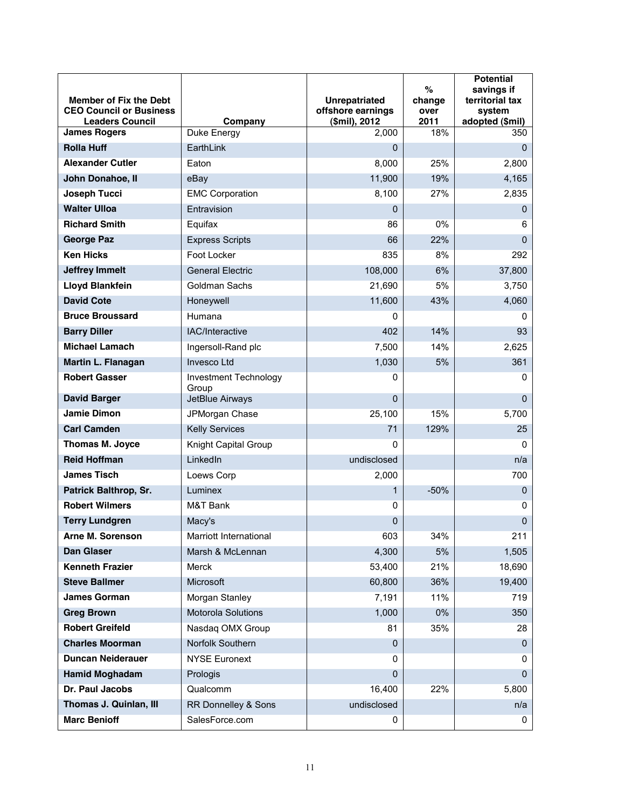| <b>Member of Fix the Debt</b><br><b>CEO Council or Business</b><br><b>Leaders Council</b> | Company                        | <b>Unrepatriated</b><br>offshore earnings<br>(\$mil), 2012 | %<br>change<br>over<br>2011 | <b>Potential</b><br>savings if<br>territorial tax<br>system<br>adopted (\$mil) |
|-------------------------------------------------------------------------------------------|--------------------------------|------------------------------------------------------------|-----------------------------|--------------------------------------------------------------------------------|
| <b>James Rogers</b>                                                                       | Duke Energy                    | 2,000                                                      | 18%                         | 350                                                                            |
| <b>Rolla Huff</b>                                                                         | EarthLink                      | 0                                                          |                             | $\Omega$                                                                       |
| <b>Alexander Cutler</b>                                                                   | Eaton                          | 8,000                                                      | 25%                         | 2,800                                                                          |
| John Donahoe, II                                                                          | eBay                           | 11,900                                                     | 19%                         | 4,165                                                                          |
| Joseph Tucci                                                                              | <b>EMC Corporation</b>         | 8,100                                                      | 27%                         | 2,835                                                                          |
| <b>Walter Ulloa</b>                                                                       | Entravision                    | $\mathbf 0$                                                |                             | $\Omega$                                                                       |
| <b>Richard Smith</b>                                                                      | Equifax                        | 86                                                         | 0%                          | 6                                                                              |
| <b>George Paz</b>                                                                         | <b>Express Scripts</b>         | 66                                                         | 22%                         | $\Omega$                                                                       |
| <b>Ken Hicks</b>                                                                          | Foot Locker                    | 835                                                        | 8%                          | 292                                                                            |
| <b>Jeffrey Immelt</b>                                                                     | <b>General Electric</b>        | 108,000                                                    | 6%                          | 37,800                                                                         |
| <b>Lloyd Blankfein</b>                                                                    | Goldman Sachs                  | 21,690                                                     | 5%                          | 3,750                                                                          |
| <b>David Cote</b>                                                                         | Honeywell                      | 11,600                                                     | 43%                         | 4,060                                                                          |
| <b>Bruce Broussard</b>                                                                    | Humana                         | 0                                                          |                             | 0                                                                              |
| <b>Barry Diller</b>                                                                       | IAC/Interactive                | 402                                                        | 14%                         | 93                                                                             |
| <b>Michael Lamach</b>                                                                     | Ingersoll-Rand plc             | 7,500                                                      | 14%                         | 2,625                                                                          |
| Martin L. Flanagan                                                                        | <b>Invesco Ltd</b>             | 1,030                                                      | 5%                          | 361                                                                            |
| <b>Robert Gasser</b>                                                                      | Investment Technology<br>Group | 0                                                          |                             | 0                                                                              |
| <b>David Barger</b>                                                                       | JetBlue Airways                | $\Omega$                                                   |                             | $\Omega$                                                                       |
| Jamie Dimon                                                                               | JPMorgan Chase                 | 25,100                                                     | 15%                         | 5,700                                                                          |
| <b>Carl Camden</b>                                                                        | <b>Kelly Services</b>          | 71                                                         | 129%                        | 25                                                                             |
| <b>Thomas M. Joyce</b>                                                                    | Knight Capital Group           | 0                                                          |                             | 0                                                                              |
| <b>Reid Hoffman</b>                                                                       | LinkedIn                       | undisclosed                                                |                             | n/a                                                                            |
| <b>James Tisch</b>                                                                        | Loews Corp                     | 2,000                                                      |                             | 700                                                                            |
| Patrick Balthrop, Sr.                                                                     | Luminex                        | 1                                                          | $-50%$                      | $\Omega$                                                                       |
| <b>Robert Wilmers</b>                                                                     | M&T Bank                       | 0                                                          |                             | 0                                                                              |
| <b>Terry Lundgren</b>                                                                     | Macy's                         | 0                                                          |                             | $\mathbf 0$                                                                    |
| <b>Arne M. Sorenson</b>                                                                   | Marriott International         | 603                                                        | 34%                         | 211                                                                            |
| <b>Dan Glaser</b>                                                                         | Marsh & McLennan               | 4,300                                                      | $5%$                        | 1,505                                                                          |
| <b>Kenneth Frazier</b>                                                                    | Merck                          | 53,400                                                     | 21%                         | 18,690                                                                         |
| <b>Steve Ballmer</b>                                                                      | Microsoft                      | 60,800                                                     | 36%                         | 19,400                                                                         |
| <b>James Gorman</b>                                                                       | Morgan Stanley                 | 7,191                                                      | 11%                         | 719                                                                            |
| <b>Greg Brown</b>                                                                         | Motorola Solutions             | 1,000                                                      | $0\%$                       | 350                                                                            |
| <b>Robert Greifeld</b>                                                                    | Nasdaq OMX Group               | 81                                                         | 35%                         | 28                                                                             |
| <b>Charles Moorman</b>                                                                    | Norfolk Southern               | $\mathbf{0}$                                               |                             | $\Omega$                                                                       |
| <b>Duncan Neiderauer</b>                                                                  | <b>NYSE Euronext</b>           | 0                                                          |                             | 0                                                                              |
| <b>Hamid Moghadam</b>                                                                     | Prologis                       | $\mathbf{0}$                                               |                             | $\Omega$                                                                       |
| Dr. Paul Jacobs                                                                           | Qualcomm                       | 16,400                                                     | 22%                         | 5,800                                                                          |
| Thomas J. Quinlan, III                                                                    | RR Donnelley & Sons            | undisclosed                                                |                             | n/a                                                                            |
| <b>Marc Benioff</b>                                                                       | SalesForce.com                 | 0                                                          |                             | 0                                                                              |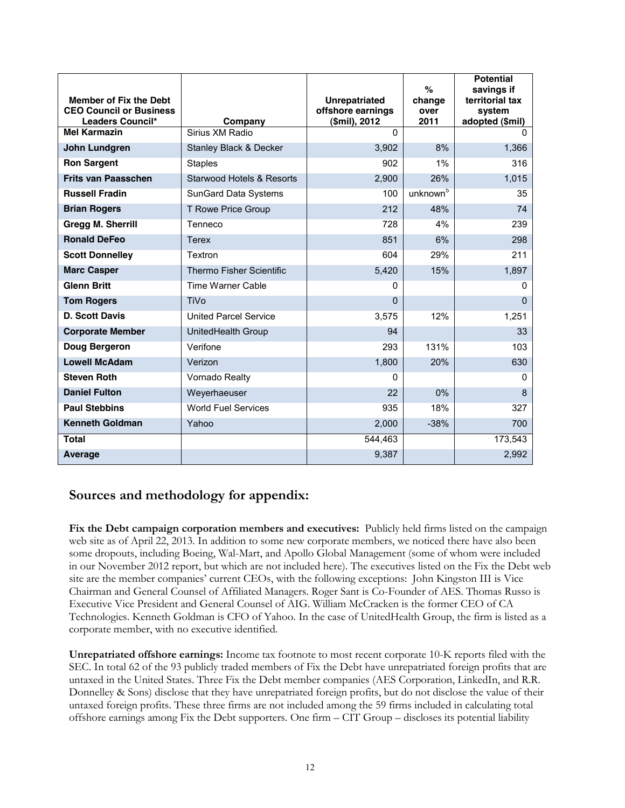| <b>Member of Fix the Debt</b><br><b>CEO Council or Business</b><br>Leaders Council* | Company                         | <b>Unrepatriated</b><br>offshore earnings<br>(\$mil), 2012 | $\%$<br>change<br>over<br>2011 | <b>Potential</b><br>savings if<br>territorial tax<br>system<br>adopted (\$mil) |
|-------------------------------------------------------------------------------------|---------------------------------|------------------------------------------------------------|--------------------------------|--------------------------------------------------------------------------------|
| <b>Mel Karmazin</b>                                                                 | Sirius XM Radio                 | $\Omega$                                                   |                                | <sup>0</sup>                                                                   |
| <b>John Lundgren</b>                                                                | Stanley Black & Decker          | 3,902                                                      | 8%                             | 1,366                                                                          |
| <b>Ron Sargent</b>                                                                  | <b>Staples</b>                  | 902                                                        | $1\%$                          | 316                                                                            |
| <b>Frits van Paasschen</b>                                                          | Starwood Hotels & Resorts       | 2,900                                                      | 26%                            | 1,015                                                                          |
| <b>Russell Fradin</b>                                                               | SunGard Data Systems            | 100                                                        | unknown <sup>5</sup>           | 35                                                                             |
| <b>Brian Rogers</b>                                                                 | T Rowe Price Group              | 212                                                        | 48%                            | 74                                                                             |
| <b>Gregg M. Sherrill</b>                                                            | Tenneco                         | 728                                                        | 4%                             | 239                                                                            |
| <b>Ronald DeFeo</b>                                                                 | <b>Terex</b>                    | 851                                                        | 6%                             | 298                                                                            |
| <b>Scott Donnelley</b>                                                              | Textron                         | 604                                                        | 29%                            | 211                                                                            |
| <b>Marc Casper</b>                                                                  | <b>Thermo Fisher Scientific</b> | 5,420                                                      | 15%                            | 1,897                                                                          |
| <b>Glenn Britt</b>                                                                  | <b>Time Warner Cable</b>        | $\Omega$                                                   |                                | $\Omega$                                                                       |
| <b>Tom Rogers</b>                                                                   | TiVo                            | $\Omega$                                                   |                                | $\Omega$                                                                       |
| <b>D. Scott Davis</b>                                                               | <b>United Parcel Service</b>    | 3,575                                                      | 12%                            | 1,251                                                                          |
| <b>Corporate Member</b>                                                             | UnitedHealth Group              | 94                                                         |                                | 33                                                                             |
| Doug Bergeron                                                                       | Verifone                        | 293                                                        | 131%                           | 103                                                                            |
| <b>Lowell McAdam</b>                                                                | Verizon                         | 1,800                                                      | 20%                            | 630                                                                            |
| <b>Steven Roth</b>                                                                  | Vornado Realty                  | $\Omega$                                                   |                                | $\Omega$                                                                       |
| <b>Daniel Fulton</b>                                                                | Weyerhaeuser                    | 22                                                         | $0\%$                          | 8                                                                              |
| <b>Paul Stebbins</b>                                                                | <b>World Fuel Services</b>      | 935                                                        | 18%                            | 327                                                                            |
| <b>Kenneth Goldman</b>                                                              | Yahoo                           | 2,000                                                      | $-38%$                         | 700                                                                            |
| <b>Total</b>                                                                        |                                 | 544,463                                                    |                                | 173,543                                                                        |
| <b>Average</b>                                                                      |                                 | 9,387                                                      |                                | 2,992                                                                          |

#### Sources and methodology for appendix:

Fix the Debt campaign corporation members and executives: Publicly held firms listed on the campaign web site as of April 22, 2013. In addition to some new corporate members, we noticed there have also been some dropouts, including Boeing, Wal-Mart, and Apollo Global Management (some of whom were included in our November 2012 report, but which are not included here). The executives listed on the Fix the Debt web site are the member companies' current CEOs, with the following exceptions: John Kingston III is Vice Chairman and General Counsel of Affiliated Managers. Roger Sant is Co-Founder of AES. Thomas Russo is Executive Vice President and General Counsel of AIG. William McCracken is the former CEO of CA Technologies. Kenneth Goldman is CFO of Yahoo. In the case of UnitedHealth Group, the firm is listed as a corporate member, with no executive identified.

**Unrepatriated offshore earnings:** Income tax footnote to most recent corporate 10-K reports filed with the SEC. In total 62 of the 93 publicly traded members of Fix the Debt have unrepatriated foreign profits that are untaxed in the United States. Three Fix the Debt member companies (AES Corporation, LinkedIn, and R.R. Donnelley & Sons) disclose that they have unrepatriated foreign profits, but do not disclose the value of their untaxed foreign profits. These three firms are not included among the 59 firms included in calculating total offshore earnings among Fix the Debt supporters. One firm - CIT Group - discloses its potential liability